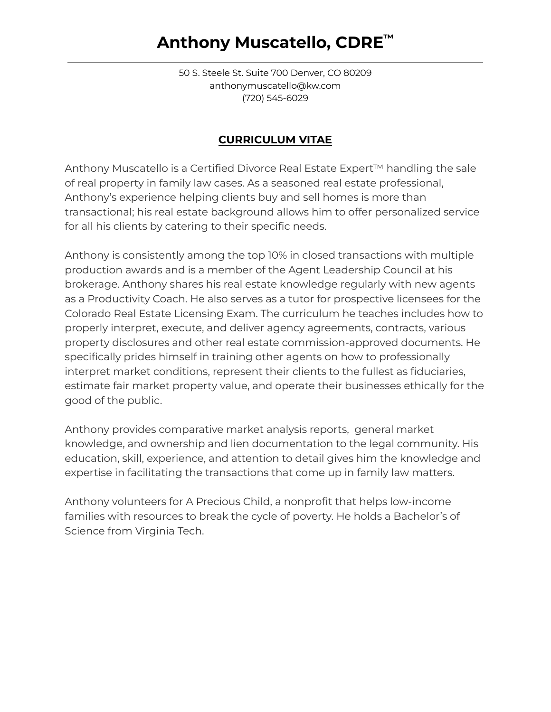# **Anthony Muscatello, CDRE ™**

50 S. Steele St. Suite 700 Denver, CO 80209 anthonymuscatello@kw.com (720) 545-6029

# **CURRICULUM VITAE**

Anthony Muscatello is a Certified Divorce Real Estate Expert™ handling the sale of real property in family law cases. As a seasoned real estate professional, Anthony's experience helping clients buy and sell homes is more than transactional; his real estate background allows him to offer personalized service for all his clients by catering to their specific needs.

Anthony is consistently among the top 10% in closed transactions with multiple production awards and is a member of the Agent Leadership Council at his brokerage. Anthony shares his real estate knowledge regularly with new agents as a Productivity Coach. He also serves as a tutor for prospective licensees for the Colorado Real Estate Licensing Exam. The curriculum he teaches includes how to properly interpret, execute, and deliver agency agreements, contracts, various property disclosures and other real estate commission-approved documents. He specifically prides himself in training other agents on how to professionally interpret market conditions, represent their clients to the fullest as fiduciaries, estimate fair market property value, and operate their businesses ethically for the good of the public.

Anthony provides comparative market analysis reports, general market knowledge, and ownership and lien documentation to the legal community. His education, skill, experience, and attention to detail gives him the knowledge and expertise in facilitating the transactions that come up in family law matters.

Anthony volunteers for A Precious Child, a nonprofit that helps low-income families with resources to break the cycle of poverty. He holds a Bachelor's of Science from Virginia Tech.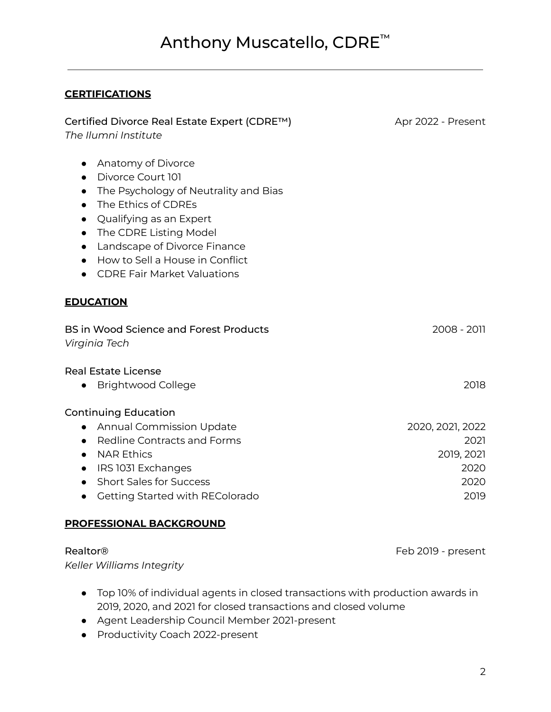# Anthony Muscatello, CDRE ™

## **CERTIFICATIONS**

| Certified Divorce Real Estate Expert (CDRE™)<br>The Ilumni Institute                                                                                                                                                                                                                                                                                                          | Apr 2022 - Present                                             |
|-------------------------------------------------------------------------------------------------------------------------------------------------------------------------------------------------------------------------------------------------------------------------------------------------------------------------------------------------------------------------------|----------------------------------------------------------------|
| Anatomy of Divorce<br>$\bullet$<br>Divorce Court 101<br>$\bullet$<br>The Psychology of Neutrality and Bias<br>$\bullet$<br>The Ethics of CDREs<br>$\bullet$<br>Qualifying as an Expert<br>$\bullet$<br>The CDRE Listing Model<br>$\bullet$<br>Landscape of Divorce Finance<br>$\bullet$<br>How to Sell a House in Conflict<br>$\bullet$<br><b>CDRE Fair Market Valuations</b> |                                                                |
| <b>EDUCATION</b>                                                                                                                                                                                                                                                                                                                                                              |                                                                |
| <b>BS in Wood Science and Forest Products</b><br>Virginia Tech                                                                                                                                                                                                                                                                                                                | 2008 - 2011                                                    |
| <b>Real Estate License</b><br><b>Brightwood College</b>                                                                                                                                                                                                                                                                                                                       | 2018                                                           |
| <b>Continuing Education</b><br><b>Annual Commission Update</b><br>$\bullet$<br><b>Redline Contracts and Forms</b><br>$\bullet$<br><b>NAR Ethics</b><br>$\bullet$<br>IRS 1031 Exchanges<br>$\bullet$<br><b>Short Sales for Success</b><br>$\bullet$<br>Getting Started with REColorado                                                                                         | 2020, 2021, 2022<br>2021<br>2019, 2021<br>2020<br>2020<br>2019 |

### **PROFESSIONAL BACKGROUND**

Realtor® **Feb 2019** - present *Keller Williams Integrity*

- Top 10% of individual agents in closed transactions with production awards in 2019, 2020, and 2021 for closed transactions and closed volume
- Agent Leadership Council Member 2021-present
- Productivity Coach 2022-present